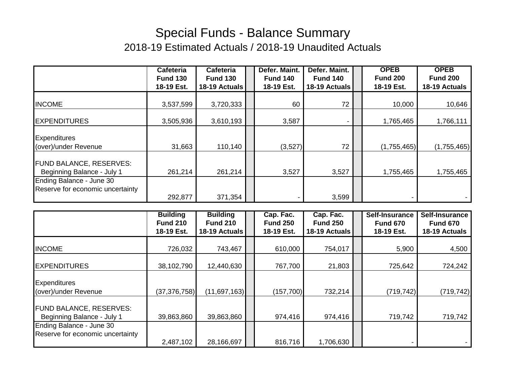## Special Funds - Balance Summary 2018-19 Estimated Actuals / 2018-19 Unaudited Actuals

|                                                              | Cafeteria       | <b>Cafeteria</b> | Defer. Maint.   | Defer. Maint.   | <b>OPEB</b>     | <b>OPEB</b>     |
|--------------------------------------------------------------|-----------------|------------------|-----------------|-----------------|-----------------|-----------------|
|                                                              | <b>Fund 130</b> | <b>Fund 130</b>  | <b>Fund 140</b> | <b>Fund 140</b> | <b>Fund 200</b> | <b>Fund 200</b> |
|                                                              | 18-19 Est.      | 18-19 Actuals    | 18-19 Est.      | 18-19 Actuals   | 18-19 Est.      | 18-19 Actuals   |
|                                                              |                 |                  |                 |                 |                 |                 |
| <b>INCOME</b>                                                | 3,537,599       | 3,720,333        | 60              | 72              | 10,000          | 10,646          |
| <b>EXPENDITURES</b>                                          | 3,505,936       | 3,610,193        | 3,587           |                 | 1,765,465       | 1,766,111       |
| <b>Expenditures</b>                                          |                 |                  |                 |                 |                 |                 |
| (over)/under Revenue                                         | 31,663          | 110,140          | (3,527)         | 72              | (1,755,465)     | (1,755,465)     |
| <b>FUND BALANCE, RESERVES:</b><br>Beginning Balance - July 1 | 261,214         | 261,214          | 3,527           | 3,527           | 1,755,465       | 1,755,465       |
| Ending Balance - June 30                                     |                 |                  |                 |                 |                 |                 |
| Reserve for economic uncertainty                             |                 |                  |                 |                 |                 |                 |
|                                                              | 292,877         | 371,354          |                 | 3,599           |                 |                 |

|                                  | <b>Building</b> | <b>Building</b> | Cap. Fac.       | Cap. Fac.       | Self-Insurance  | Self-Insurance  |
|----------------------------------|-----------------|-----------------|-----------------|-----------------|-----------------|-----------------|
|                                  | <b>Fund 210</b> | <b>Fund 210</b> | <b>Fund 250</b> | <b>Fund 250</b> | <b>Fund 670</b> | <b>Fund 670</b> |
|                                  | 18-19 Est.      | 18-19 Actuals   | 18-19 Est.      | 18-19 Actuals   | 18-19 Est.      | 18-19 Actuals   |
|                                  |                 |                 |                 |                 |                 |                 |
| <b>INCOME</b>                    | 726,032         | 743,467         | 610,000         | 754,017         | 5,900           | 4,500           |
|                                  |                 |                 |                 |                 |                 |                 |
| <b>EXPENDITURES</b>              | 38,102,790      | 12,440,630      | 767,700         | 21,803          | 725,642         | 724,242         |
|                                  |                 |                 |                 |                 |                 |                 |
| <b>Expenditures</b>              |                 |                 |                 |                 |                 |                 |
| (over)/under Revenue             | (37, 376, 758)  | (11,697,163)    | (157, 700)      | 732,214         | (719, 742)      | (719, 742)      |
|                                  |                 |                 |                 |                 |                 |                 |
| <b>FUND BALANCE, RESERVES:</b>   |                 |                 |                 |                 |                 |                 |
| Beginning Balance - July 1       | 39,863,860      | 39,863,860      | 974,416         | 974,416         | 719,742         | 719,742         |
| Ending Balance - June 30         |                 |                 |                 |                 |                 |                 |
| Reserve for economic uncertainty |                 |                 |                 |                 |                 |                 |
|                                  | 2,487,102       | 28,166,697      | 816,716         | 1,706,630       |                 |                 |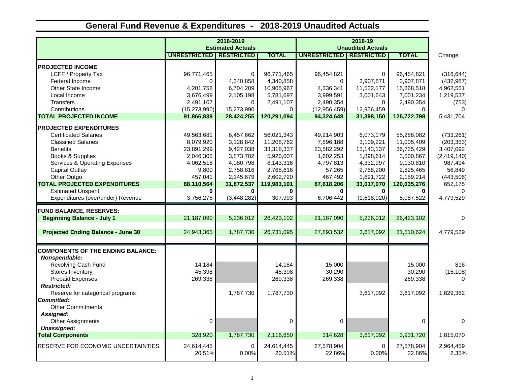## **General Fund Revenue & Expenditures - 2018-2019 Unaudited Actuals**

|                                           |                                  | 2018-2019<br><b>Estimated Actuals</b> |                      | <b>Unaudited Actuals</b> |                   |                      |                    |
|-------------------------------------------|----------------------------------|---------------------------------------|----------------------|--------------------------|-------------------|----------------------|--------------------|
|                                           | <b>UNRESTRICTED   RESTRICTED</b> |                                       | <b>TOTAL</b>         | <b>UNRESTRICTED</b>      | <b>RESTRICTED</b> | <b>TOTAL</b>         | Change             |
| <b>PROJECTED INCOME</b>                   |                                  |                                       |                      |                          |                   |                      |                    |
| LCFF / Property Tax                       | 96,771,465                       | 0                                     | 96,771,465           | 96,454,821               | $\mathbf 0$       | 96,454,821           | (316, 644)         |
| Federal Income                            | $\Omega$                         | 4,340,858                             | 4,340,858            | 0                        | 3,907,871         | 3,907,871            | (432, 987)         |
| Other State Income                        | 4,201,758                        | 6,704,209                             | 10,905,967           | 4,336,341                | 11,532,177        | 15,868,518           | 4,962,551          |
| Local Income                              | 3,676,499                        | 2,105,198                             | 5,781,697            | 3,999,591                | 3,001,643         | 7,001,234            | 1,219,537          |
| <b>Transfers</b>                          | 2,491,107                        | $\Omega$                              | 2,491,107            | 2,490,354                | 0                 | 2,490,354            | (753)              |
| Contributions                             | (15, 273, 990)                   | 15,273,990                            | $\Omega$             | (12,956,459)             | 12,956,459        | $\Omega$             | $\Omega$           |
| <b>TOTAL PROJECTED INCOME</b>             | 91,866,839                       | 28,424,255                            | 120,291,094          | 94,324,648               | 31,398,150        | 125,722,798          | 5,431,704          |
| <b>PROJECTED EXPENDITURES</b>             |                                  |                                       |                      |                          |                   |                      |                    |
| <b>Certificated Salaries</b>              | 49,563,681                       | 6,457,662                             | 56,021,343           | 49,214,903               | 6,073,179         | 55,288,082           | (733, 261)         |
| <b>Classified Salaries</b>                | 8,079,920                        | 3,128,842                             | 11,208,762           | 7,896,188                | 3,109,221         | 11,005,409           | (203, 353)         |
| <b>Benefits</b>                           | 23,891,299                       | 9,427,038                             | 33,318,337           | 23,582,292               | 13, 143, 137      | 36,725,429           | 3,407,092          |
| Books & Supplies                          | 2,046,305                        | 3,873,702                             | 5,920,007            | 1,602,253                | 1,898,614         | 3,500,867            | (2, 419, 140)      |
| <b>Services &amp; Operating Expenses</b>  | 4,062,518                        | 4,080,798                             | 8,143,316            | 4,797,813                | 4,332,997         | 9,130,810            | 987,494            |
| <b>Capital Outlay</b>                     | 9,800                            | 2,758,816                             | 2,768,616            | 57,265                   | 2,768,200         | 2,825,465            | 56,849             |
| Other Outgo                               | 457.041                          | 2,145,679                             | 2,602,720            | 467,492                  | 1,691,722         | 2,159,214            | (443, 506)         |
| <b>TOTAL PROJECTED EXPENDITURES</b>       | 88,110,564                       | 31,872,537                            | 119,983,101          | 87,618,206               | 33,017,070        | 120,635,276          | 652,175            |
| <b>Estimated Unspent</b>                  | $\bf{0}$                         | <sup>0</sup>                          | 0                    | 0                        | 0                 |                      | $\Omega$           |
| Expenditures (over/under) Revenue         | 3,756,275                        | (3,448,282)                           | 307,993              | 6,706,442                | (1,618,920)       | 5,087,522            | 4,779,529          |
| <b>FUND BALANCE, RESERVES:</b>            |                                  |                                       |                      |                          |                   |                      |                    |
| <b>Beginning Balance - July 1</b>         | 21,187,090                       | 5,236,012                             | 26,423,102           | 21,187,090               | 5,236,012         | 26,423,102           | $\Omega$           |
| <b>Projected Ending Balance - June 30</b> | 24,943,365                       | 1,787,730                             | 26,731,095           | 27,893,532               | 3,617,092         | 31,510,624           | 4,779,529          |
| <b>COMPONENTS OF THE ENDING BALANCE:</b>  |                                  |                                       |                      |                          |                   |                      |                    |
| Nonspendable:                             |                                  |                                       |                      |                          |                   |                      |                    |
| Revolving Cash Fund                       | 14,184                           |                                       | 14,184               | 15,000                   |                   | 15,000               | 816                |
| Stores Inventory                          | 45,398                           |                                       | 45,398               | 30,290                   |                   | 30,290               | (15, 108)          |
| <b>Prepaid Expenses</b>                   | 269,338                          |                                       | 269,338              | 269,338                  |                   | 269,338              | $\Omega$           |
| <b>Restricted:</b>                        |                                  |                                       |                      |                          |                   |                      |                    |
| Reserve for categorical programs          |                                  | 1,787,730                             | 1,787,730            |                          | 3,617,092         | 3,617,092            | 1,829,362          |
| <b>Committed:</b>                         |                                  |                                       |                      |                          |                   |                      |                    |
| <b>Other Commitments</b>                  |                                  |                                       |                      |                          |                   |                      |                    |
| Assigned:                                 |                                  |                                       |                      |                          |                   |                      |                    |
| <b>Other Assignments</b>                  | $\pmb{0}$                        |                                       | 0                    | 0                        |                   | $\Omega$             | $\Omega$           |
| Unassigned:                               |                                  |                                       |                      |                          |                   |                      |                    |
| <b>Total Components</b>                   | 328,920                          | 1,787,730                             | 2,116,650            | 314,628                  | 3,617,092         | 3,931,720            | 1,815,070          |
| RESERVE FOR ECONOMIC UNCERTAINTIES        | 24,614,445<br>20.51%             | 0<br>0.00%                            | 24,614,445<br>20.51% | 27,578,904<br>22.86%     | 0<br>0.00%        | 27,578,904<br>22.86% | 2,964,459<br>2.35% |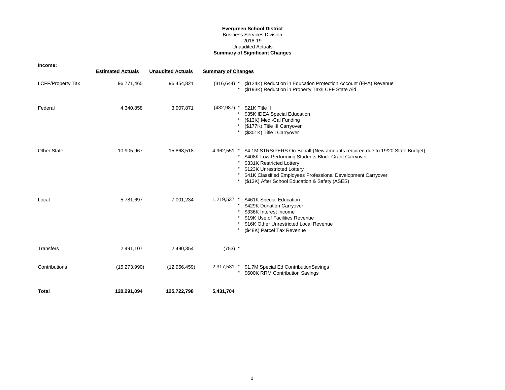## **Evergreen School District** Business Services Division 2018-19 **Summary of Significant Changes** Unaudited Actuals

| Income:                  |                          |                          |                           |                                                                                                                                                                                                                                                                                                                    |
|--------------------------|--------------------------|--------------------------|---------------------------|--------------------------------------------------------------------------------------------------------------------------------------------------------------------------------------------------------------------------------------------------------------------------------------------------------------------|
|                          | <b>Estimated Actuals</b> | <b>Unaudited Actuals</b> | <b>Summary of Changes</b> |                                                                                                                                                                                                                                                                                                                    |
| <b>LCFF/Property Tax</b> | 96,771,465               | 96,454,821               |                           | (316,644) * (\$124K) Reduction in Education Protection Account (EPA) Revenue<br>(\$193K) Reduction in Property Tax/LCFF State Aid                                                                                                                                                                                  |
| Federal                  | 4,340,858                | 3,907,871                | $(432,987)$ *             | \$21K Title II<br>\$35K IDEA Special Education<br>(\$13K) Medi-Cal Funding<br>(\$177K) Title III Carryover<br>(\$301K) Title I Carryover                                                                                                                                                                           |
| <b>Other State</b>       | 10,905,967               | 15,868,518               | 4,962,551 *<br>*          | \$4.1M STRS/PERS On-Behalf (New amounts required due to 19/20 State Budget)<br>\$408K Low-Performing Students Block Grant Carryover<br>\$331K Restricted Lottery<br>\$123K Unrestricted Lottery<br>\$41K Classified Employees Professional Development Carryover<br>(\$13K) After School Education & Safety (ASES) |
| Local                    | 5,781,697                | 7,001,234                | 1,219,537 *               | \$461K Special Education<br>\$429K Donation Carryover<br>\$336K Interest Income<br>\$19K Use of Facilities Revenue<br>\$16K Other Unrestricted Local Revenue<br>(\$48K) Parcel Tax Revenue                                                                                                                         |
| Transfers                | 2,491,107                | 2,490,354                | $(753)$ *                 |                                                                                                                                                                                                                                                                                                                    |
| Contributions            | (15, 273, 990)           | (12, 956, 459)           | 2,317,531 *               | \$1.7M Special Ed ContributionSavings<br>\$600K RRM Contribution Savings                                                                                                                                                                                                                                           |
| Total                    | 120.291.094              | 125.722.798              | 5,431,704                 |                                                                                                                                                                                                                                                                                                                    |